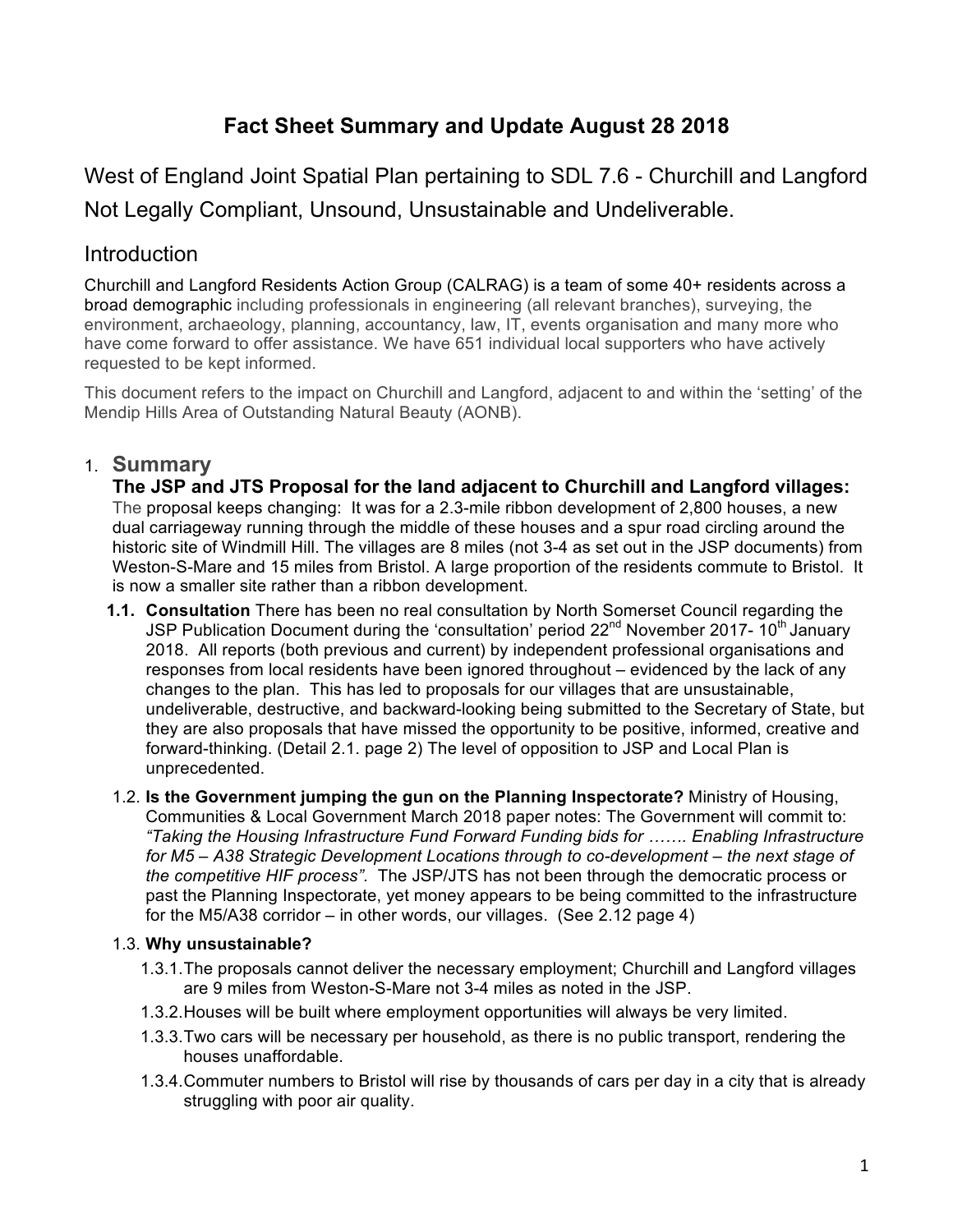# **Fact Sheet Summary and Update August 28 2018**

West of England Joint Spatial Plan pertaining to SDL 7.6 - Churchill and Langford Not Legally Compliant, Unsound, Unsustainable and Undeliverable.

# **Introduction**

Churchill and Langford Residents Action Group (CALRAG) is a team of some 40+ residents across a broad demographic including professionals in engineering (all relevant branches), surveying, the environment, archaeology, planning, accountancy, law, IT, events organisation and many more who have come forward to offer assistance. We have 651 individual local supporters who have actively requested to be kept informed.

This document refers to the impact on Churchill and Langford, adjacent to and within the 'setting' of the Mendip Hills Area of Outstanding Natural Beauty (AONB).

# 1. **Summary**

**The JSP and JTS Proposal for the land adjacent to Churchill and Langford villages:** The proposal keeps changing: It was for a 2.3-mile ribbon development of 2,800 houses, a new dual carriageway running through the middle of these houses and a spur road circling around the historic site of Windmill Hill. The villages are 8 miles (not 3-4 as set out in the JSP documents) from Weston-S-Mare and 15 miles from Bristol. A large proportion of the residents commute to Bristol. It is now a smaller site rather than a ribbon development.

- **1.1. Consultation** There has been no real consultation by North Somerset Council regarding the JSP Publication Document during the 'consultation' period 22<sup>nd</sup> November 2017- 10<sup>th</sup> January 2018. All reports (both previous and current) by independent professional organisations and responses from local residents have been ignored throughout – evidenced by the lack of any changes to the plan. This has led to proposals for our villages that are unsustainable, undeliverable, destructive, and backward-looking being submitted to the Secretary of State, but they are also proposals that have missed the opportunity to be positive, informed, creative and forward-thinking. (Detail 2.1. page 2) The level of opposition to JSP and Local Plan is unprecedented.
- 1.2. **Is the Government jumping the gun on the Planning Inspectorate?** Ministry of Housing, Communities & Local Government March 2018 paper notes: The Government will commit to: *"Taking the Housing Infrastructure Fund Forward Funding bids for ……. Enabling Infrastructure for M5 – A38 Strategic Development Locations through to co-development – the next stage of the competitive HIF process".* The JSP/JTS has not been through the democratic process or past the Planning Inspectorate, yet money appears to be being committed to the infrastructure for the M5/A38 corridor – in other words, our villages. (See 2.12 page 4)

### 1.3. **Why unsustainable?**

- 1.3.1.The proposals cannot deliver the necessary employment; Churchill and Langford villages are 9 miles from Weston-S-Mare not 3-4 miles as noted in the JSP.
- 1.3.2.Houses will be built where employment opportunities will always be very limited.
- 1.3.3.Two cars will be necessary per household, as there is no public transport, rendering the houses unaffordable.
- 1.3.4.Commuter numbers to Bristol will rise by thousands of cars per day in a city that is already struggling with poor air quality.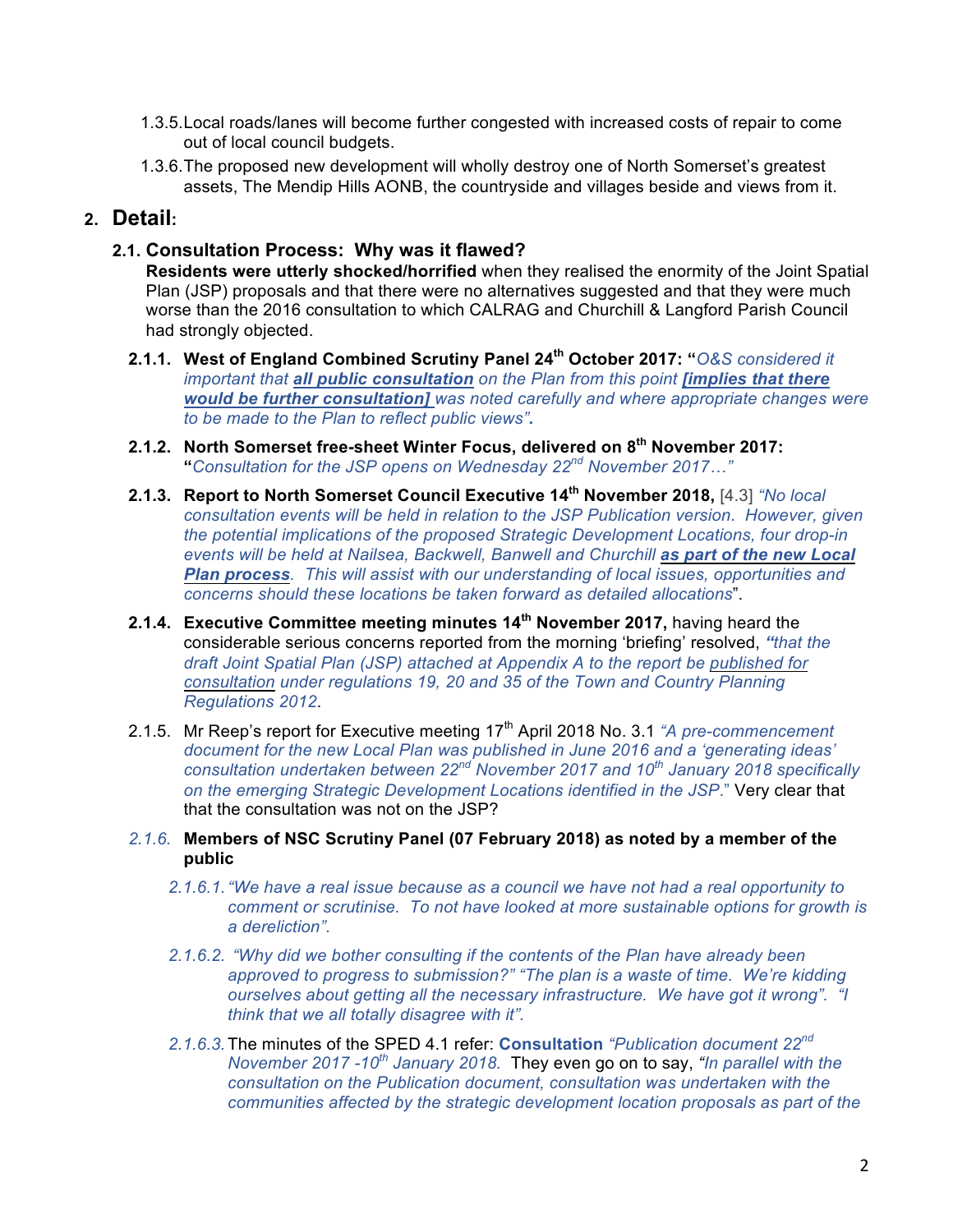- 1.3.5.Local roads/lanes will become further congested with increased costs of repair to come out of local council budgets.
- 1.3.6.The proposed new development will wholly destroy one of North Somerset's greatest assets, The Mendip Hills AONB, the countryside and villages beside and views from it.

### **2. Detail:**

#### **2.1. Consultation Process: Why was it flawed?**

**Residents were utterly shocked/horrified** when they realised the enormity of the Joint Spatial Plan (JSP) proposals and that there were no alternatives suggested and that they were much worse than the 2016 consultation to which CALRAG and Churchill & Langford Parish Council had strongly objected.

- **2.1.1. West of England Combined Scrutiny Panel 24th October 2017: "***O&S considered it important that all public consultation on the Plan from this point [implies that there would be further consultation] was noted carefully and where appropriate changes were to be made to the Plan to reflect public views".*
- **2.1.2. North Somerset free-sheet Winter Focus, delivered on 8th November 2017: "***Consultation for the JSP opens on Wednesday 22nd November 2017…"*
- **2.1.3. Report to North Somerset Council Executive 14th November 2018,** [4.3] *"No local consultation events will be held in relation to the JSP Publication version*. *However, given the potential implications of the proposed Strategic Development Locations, four drop-in events will be held at Nailsea, Backwell, Banwell and Churchill as part of the new Local Plan process. This will assist with our understanding of local issues, opportunities and concerns should these locations be taken forward as detailed allocations*".
- **2.1.4. Executive Committee meeting minutes 14th November 2017,** having heard the considerable serious concerns reported from the morning 'briefing' resolved, *"that the draft Joint Spatial Plan (JSP) attached at Appendix A to the report be published for consultation under regulations 19, 20 and 35 of the Town and Country Planning Regulations 2012*.
- 2.1.5. Mr Reep's report for Executive meeting 17<sup>th</sup> April 2018 No. 3.1 "A *pre-commencement document for the new Local Plan was published in June 2016 and a 'generating ideas' consultation undertaken between 22nd November 2017 and 10th January 2018 specifically on the emerging Strategic Development Locations identified in the JSP*." Very clear that that the consultation was not on the JSP?

#### *2.1.6.* **Members of NSC Scrutiny Panel (07 February 2018) as noted by a member of the public**

- *2.1.6.1."We have a real issue because as a council we have not had a real opportunity to comment or scrutinise. To not have looked at more sustainable options for growth is a dereliction".*
- *2.1.6.2. "Why did we bother consulting if the contents of the Plan have already been approved to progress to submission?" "The plan is a waste of time. We're kidding ourselves about getting all the necessary infrastructure. We have got it wrong". "I think that we all totally disagree with it".*
- *2.1.6.3.*The minutes of the SPED 4.1 refer: **Consultation** *"Publication document 22nd November 2017 -10th January 2018.* They even go on to say, *"In parallel with the consultation on the Publication document, consultation was undertaken with the communities affected by the strategic development location proposals as part of the*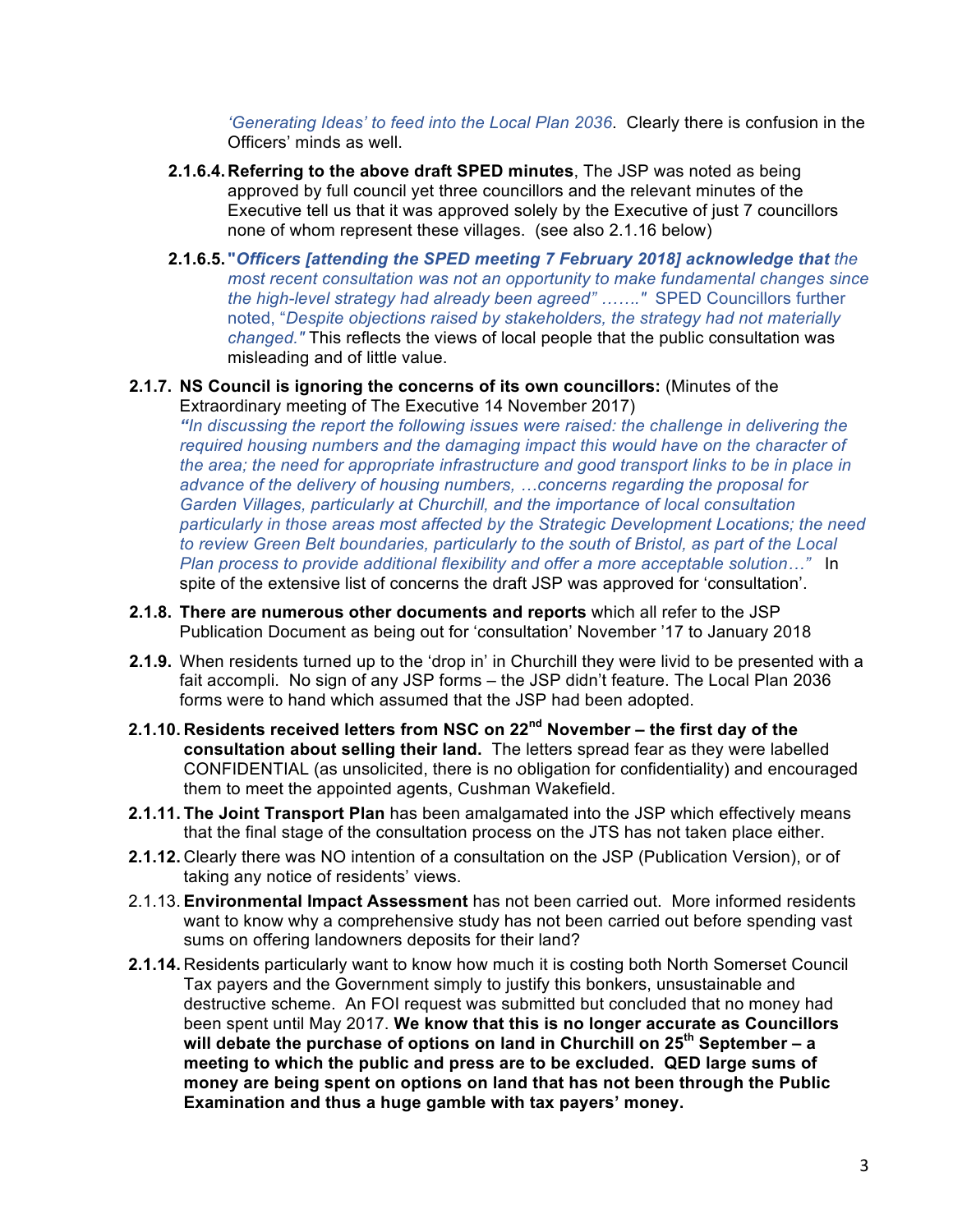*'Generating Ideas' to feed into the Local Plan 2036*. Clearly there is confusion in the Officers' minds as well.

- **2.1.6.4.Referring to the above draft SPED minutes**, The JSP was noted as being approved by full council yet three councillors and the relevant minutes of the Executive tell us that it was approved solely by the Executive of just 7 councillors none of whom represent these villages. (see also 2.1.16 below)
- **2.1.6.5. "***Officers [attending the SPED meeting 7 February 2018] acknowledge that the most recent consultation was not an opportunity to make fundamental changes since the high-level strategy had already been agreed" ……."* SPED Councillors further noted, "*Despite objections raised by stakeholders, the strategy had not materially changed."* This reflects the views of local people that the public consultation was misleading and of little value.

#### **2.1.7. NS Council is ignoring the concerns of its own councillors:** (Minutes of the Extraordinary meeting of The Executive 14 November 2017)

*"In discussing the report the following issues were raised: the challenge in delivering the required housing numbers and the damaging impact this would have on the character of the area; the need for appropriate infrastructure and good transport links to be in place in advance of the delivery of housing numbers, …concerns regarding the proposal for Garden Villages, particularly at Churchill, and the importance of local consultation particularly in those areas most affected by the Strategic Development Locations; the need to review Green Belt boundaries, particularly to the south of Bristol, as part of the Local Plan process to provide additional flexibility and offer a more acceptable solution…"* In spite of the extensive list of concerns the draft JSP was approved for 'consultation'.

- **2.1.8. There are numerous other documents and reports** which all refer to the JSP Publication Document as being out for 'consultation' November '17 to January 2018
- **2.1.9.** When residents turned up to the 'drop in' in Churchill they were livid to be presented with a fait accompli. No sign of any JSP forms – the JSP didn't feature. The Local Plan 2036 forms were to hand which assumed that the JSP had been adopted.
- **2.1.10. Residents received letters from NSC on 22nd November – the first day of the consultation about selling their land.** The letters spread fear as they were labelled CONFIDENTIAL (as unsolicited, there is no obligation for confidentiality) and encouraged them to meet the appointed agents, Cushman Wakefield.
- **2.1.11. The Joint Transport Plan** has been amalgamated into the JSP which effectively means that the final stage of the consultation process on the JTS has not taken place either.
- **2.1.12.** Clearly there was NO intention of a consultation on the JSP (Publication Version), or of taking any notice of residents' views.
- 2.1.13. **Environmental Impact Assessment** has not been carried out. More informed residents want to know why a comprehensive study has not been carried out before spending vast sums on offering landowners deposits for their land?
- **2.1.14.** Residents particularly want to know how much it is costing both North Somerset Council Tax payers and the Government simply to justify this bonkers, unsustainable and destructive scheme. An FOI request was submitted but concluded that no money had been spent until May 2017. **We know that this is no longer accurate as Councillors will debate the purchase of options on land in Churchill on 25th September – a meeting to which the public and press are to be excluded. QED large sums of money are being spent on options on land that has not been through the Public Examination and thus a huge gamble with tax payers' money.**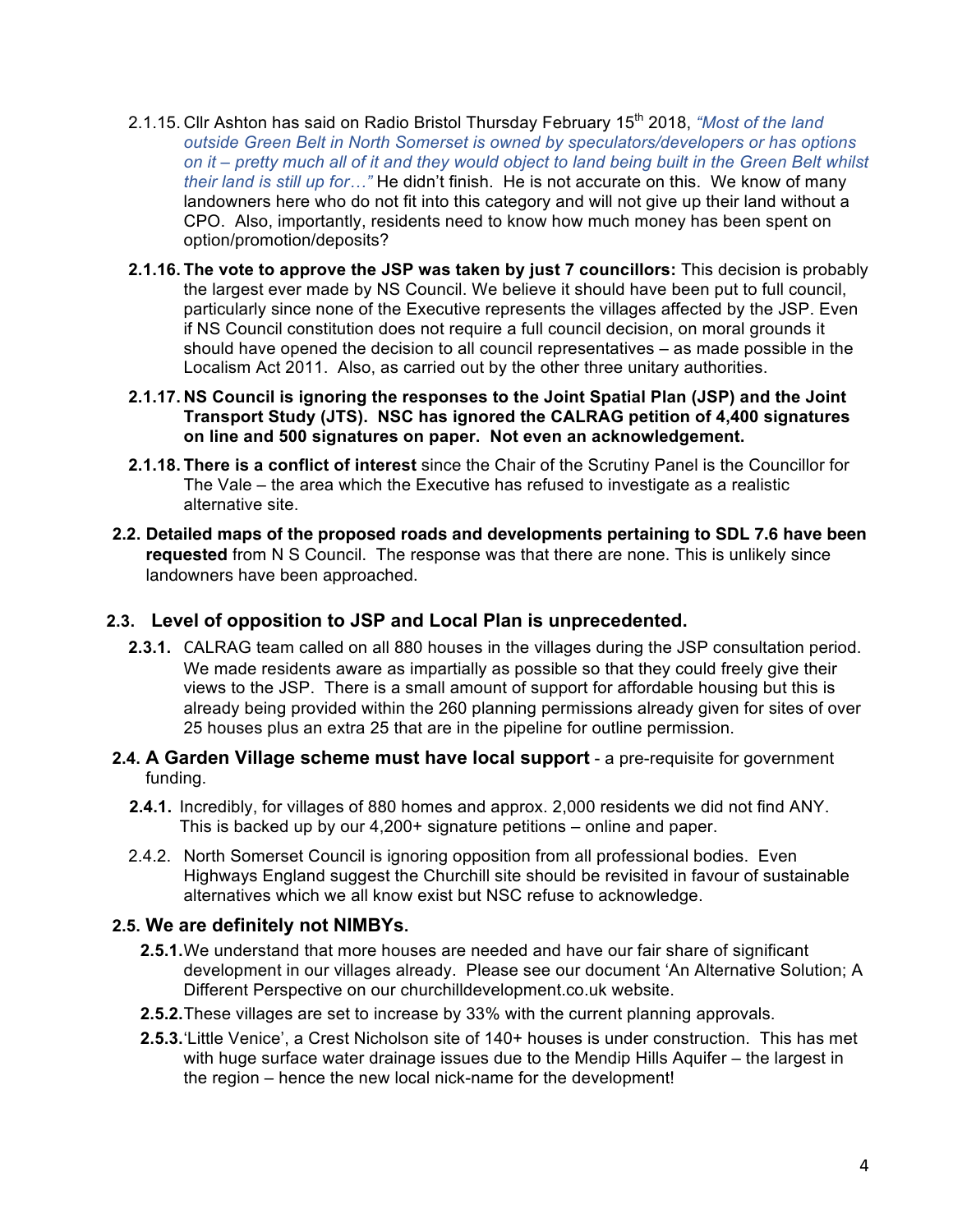- 2.1.15. Cllr Ashton has said on Radio Bristol Thursday February 15<sup>th</sup> 2018, *"Most of the land outside Green Belt in North Somerset is owned by speculators/developers or has options on it – pretty much all of it and they would object to land being built in the Green Belt whilst their land is still up for…"* He didn't finish. He is not accurate on this. We know of many landowners here who do not fit into this category and will not give up their land without a CPO. Also, importantly, residents need to know how much money has been spent on option/promotion/deposits?
- **2.1.16. The vote to approve the JSP was taken by just 7 councillors:** This decision is probably the largest ever made by NS Council. We believe it should have been put to full council, particularly since none of the Executive represents the villages affected by the JSP. Even if NS Council constitution does not require a full council decision, on moral grounds it should have opened the decision to all council representatives – as made possible in the Localism Act 2011. Also, as carried out by the other three unitary authorities.
- **2.1.17. NS Council is ignoring the responses to the Joint Spatial Plan (JSP) and the Joint Transport Study (JTS). NSC has ignored the CALRAG petition of 4,400 signatures on line and 500 signatures on paper. Not even an acknowledgement.**
- **2.1.18. There is a conflict of interest** since the Chair of the Scrutiny Panel is the Councillor for The Vale – the area which the Executive has refused to investigate as a realistic alternative site.
- **2.2. Detailed maps of the proposed roads and developments pertaining to SDL 7.6 have been requested** from N S Council. The response was that there are none. This is unlikely since landowners have been approached.

#### **2.3. Level of opposition to JSP and Local Plan is unprecedented.**

- **2.3.1.** CALRAG team called on all 880 houses in the villages during the JSP consultation period. We made residents aware as impartially as possible so that they could freely give their views to the JSP. There is a small amount of support for affordable housing but this is already being provided within the 260 planning permissions already given for sites of over 25 houses plus an extra 25 that are in the pipeline for outline permission.
- **2.4. A Garden Village scheme must have local support** a pre-requisite for government funding.
	- **2.4.1.** Incredibly, for villages of 880 homes and approx. 2,000 residents we did not find ANY. This is backed up by our 4,200+ signature petitions – online and paper.
	- 2.4.2. North Somerset Council is ignoring opposition from all professional bodies. Even Highways England suggest the Churchill site should be revisited in favour of sustainable alternatives which we all know exist but NSC refuse to acknowledge.

#### **2.5. We are definitely not NIMBYs.**

- **2.5.1.**We understand that more houses are needed and have our fair share of significant development in our villages already. Please see our document 'An Alternative Solution; A Different Perspective on our churchilldevelopment.co.uk website.
- **2.5.2.**These villages are set to increase by 33% with the current planning approvals.
- **2.5.3.**'Little Venice', a Crest Nicholson site of 140+ houses is under construction. This has met with huge surface water drainage issues due to the Mendip Hills Aquifer – the largest in the region – hence the new local nick-name for the development!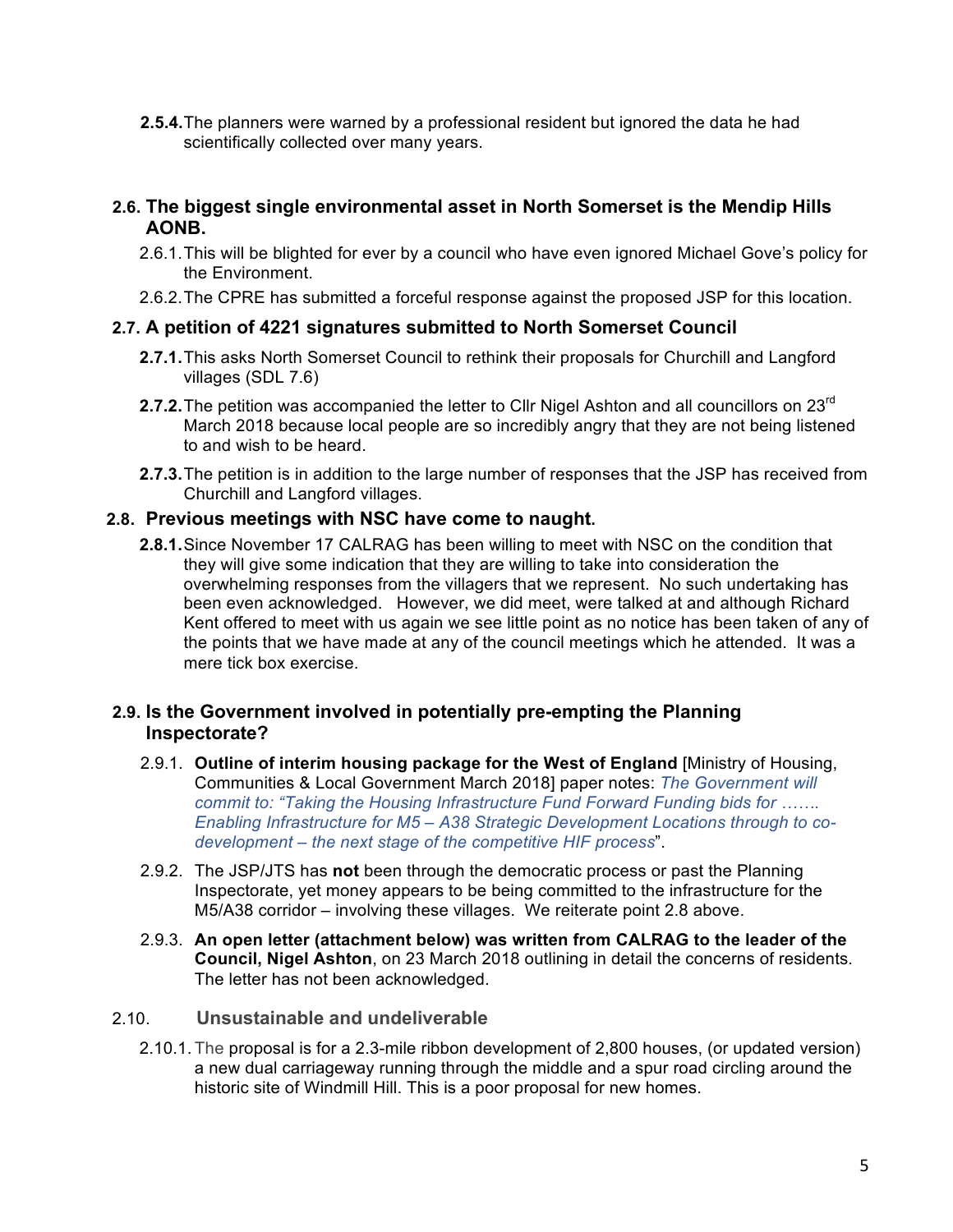**2.5.4.**The planners were warned by a professional resident but ignored the data he had scientifically collected over many years.

#### **2.6. The biggest single environmental asset in North Somerset is the Mendip Hills AONB.**

- 2.6.1.This will be blighted for ever by a council who have even ignored Michael Gove's policy for the Environment.
- 2.6.2.The CPRE has submitted a forceful response against the proposed JSP for this location.

#### **2.7. A petition of 4221 signatures submitted to North Somerset Council**

- **2.7.1.**This asks North Somerset Council to rethink their proposals for Churchill and Langford villages (SDL 7.6)
- **2.7.2.** The petition was accompanied the letter to CIIr Nigel Ashton and all councillors on 23<sup>rd</sup> March 2018 because local people are so incredibly angry that they are not being listened to and wish to be heard.
- **2.7.3.**The petition is in addition to the large number of responses that the JSP has received from Churchill and Langford villages.

#### **2.8. Previous meetings with NSC have come to naught.**

**2.8.1.**Since November 17 CALRAG has been willing to meet with NSC on the condition that they will give some indication that they are willing to take into consideration the overwhelming responses from the villagers that we represent. No such undertaking has been even acknowledged. However, we did meet, were talked at and although Richard Kent offered to meet with us again we see little point as no notice has been taken of any of the points that we have made at any of the council meetings which he attended. It was a mere tick box exercise.

#### **2.9. Is the Government involved in potentially pre-empting the Planning Inspectorate?**

- 2.9.1. **Outline of interim housing package for the West of England** [Ministry of Housing, Communities & Local Government March 2018] paper notes: *The Government will commit to: "Taking the Housing Infrastructure Fund Forward Funding bids for ……. Enabling Infrastructure for M5 – A38 Strategic Development Locations through to codevelopment – the next stage of the competitive HIF process*".
- 2.9.2. The JSP/JTS has **not** been through the democratic process or past the Planning Inspectorate, yet money appears to be being committed to the infrastructure for the M5/A38 corridor – involving these villages. We reiterate point 2.8 above.
- 2.9.3. **An open letter (attachment below) was written from CALRAG to the leader of the Council, Nigel Ashton**, on 23 March 2018 outlining in detail the concerns of residents. The letter has not been acknowledged.

#### 2.10. **Unsustainable and undeliverable**

2.10.1. The proposal is for a 2.3-mile ribbon development of 2,800 houses, (or updated version) a new dual carriageway running through the middle and a spur road circling around the historic site of Windmill Hill. This is a poor proposal for new homes.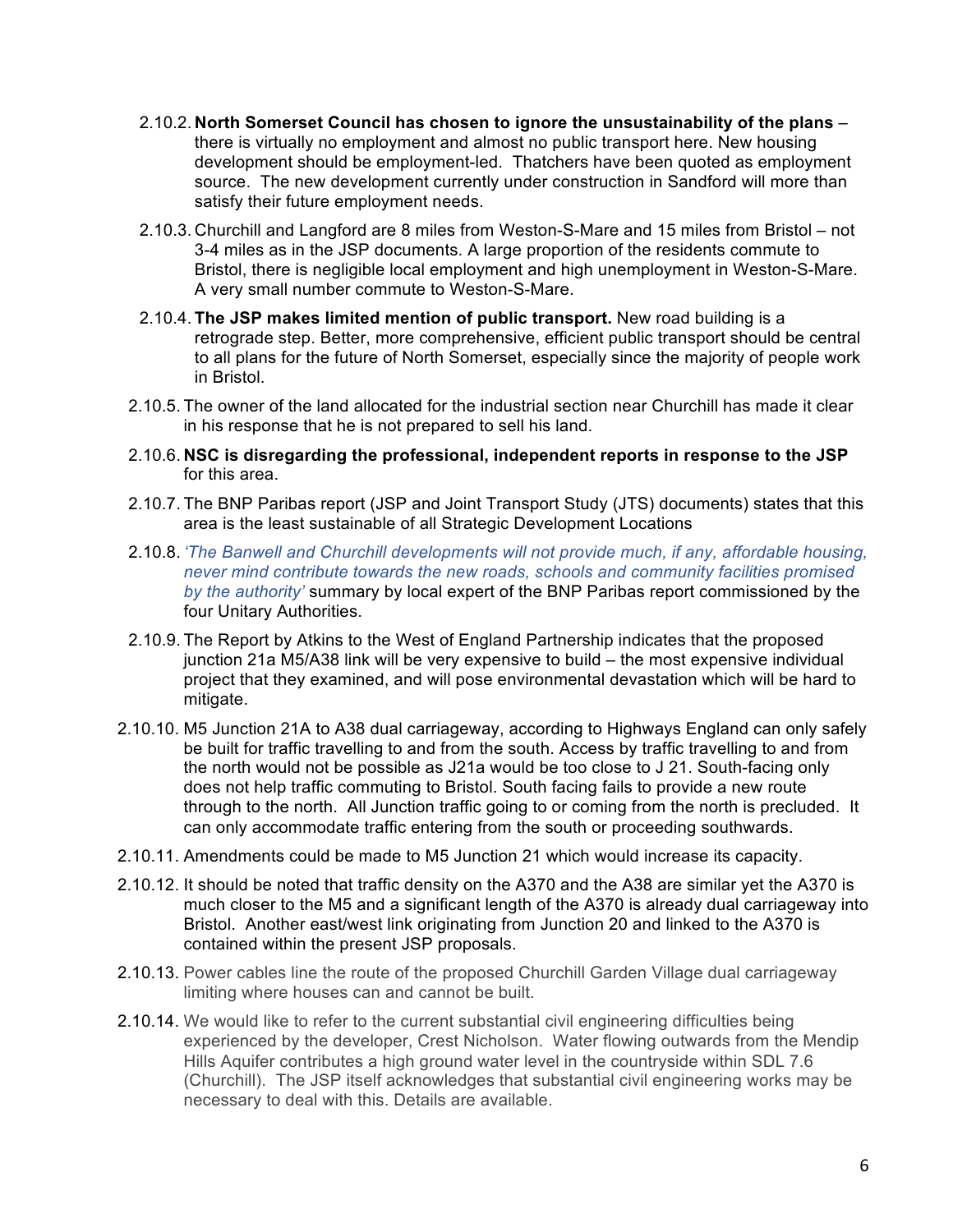- 2.10.2. **North Somerset Council has chosen to ignore the unsustainability of the plans** there is virtually no employment and almost no public transport here. New housing development should be employment-led. Thatchers have been quoted as employment source. The new development currently under construction in Sandford will more than satisfy their future employment needs.
- 2.10.3. Churchill and Langford are 8 miles from Weston-S-Mare and 15 miles from Bristol not 3-4 miles as in the JSP documents. A large proportion of the residents commute to Bristol, there is negligible local employment and high unemployment in Weston-S-Mare. A very small number commute to Weston-S-Mare.
- 2.10.4. **The JSP makes limited mention of public transport.** New road building is a retrograde step. Better, more comprehensive, efficient public transport should be central to all plans for the future of North Somerset, especially since the majority of people work in Bristol.
- 2.10.5. The owner of the land allocated for the industrial section near Churchill has made it clear in his response that he is not prepared to sell his land.
- 2.10.6. **NSC is disregarding the professional, independent reports in response to the JSP** for this area.
- 2.10.7. The BNP Paribas report (JSP and Joint Transport Study (JTS) documents) states that this area is the least sustainable of all Strategic Development Locations
- 2.10.8. *'The Banwell and Churchill developments will not provide much, if any, affordable housing, never mind contribute towards the new roads, schools and community facilities promised by the authority'* summary by local expert of the BNP Paribas report commissioned by the four Unitary Authorities.
- 2.10.9. The Report by Atkins to the West of England Partnership indicates that the proposed junction 21a M5/A38 link will be very expensive to build – the most expensive individual project that they examined, and will pose environmental devastation which will be hard to mitigate.
- 2.10.10. M5 Junction 21A to A38 dual carriageway, according to Highways England can only safely be built for traffic travelling to and from the south. Access by traffic travelling to and from the north would not be possible as J21a would be too close to J 21. South-facing only does not help traffic commuting to Bristol. South facing fails to provide a new route through to the north. All Junction traffic going to or coming from the north is precluded. It can only accommodate traffic entering from the south or proceeding southwards.
- 2.10.11. Amendments could be made to M5 Junction 21 which would increase its capacity.
- 2.10.12. It should be noted that traffic density on the A370 and the A38 are similar yet the A370 is much closer to the M5 and a significant length of the A370 is already dual carriageway into Bristol. Another east/west link originating from Junction 20 and linked to the A370 is contained within the present JSP proposals.
- 2.10.13. Power cables line the route of the proposed Churchill Garden Village dual carriageway limiting where houses can and cannot be built.
- 2.10.14. We would like to refer to the current substantial civil engineering difficulties being experienced by the developer, Crest Nicholson. Water flowing outwards from the Mendip Hills Aquifer contributes a high ground water level in the countryside within SDL 7.6 (Churchill). The JSP itself acknowledges that substantial civil engineering works may be necessary to deal with this. Details are available.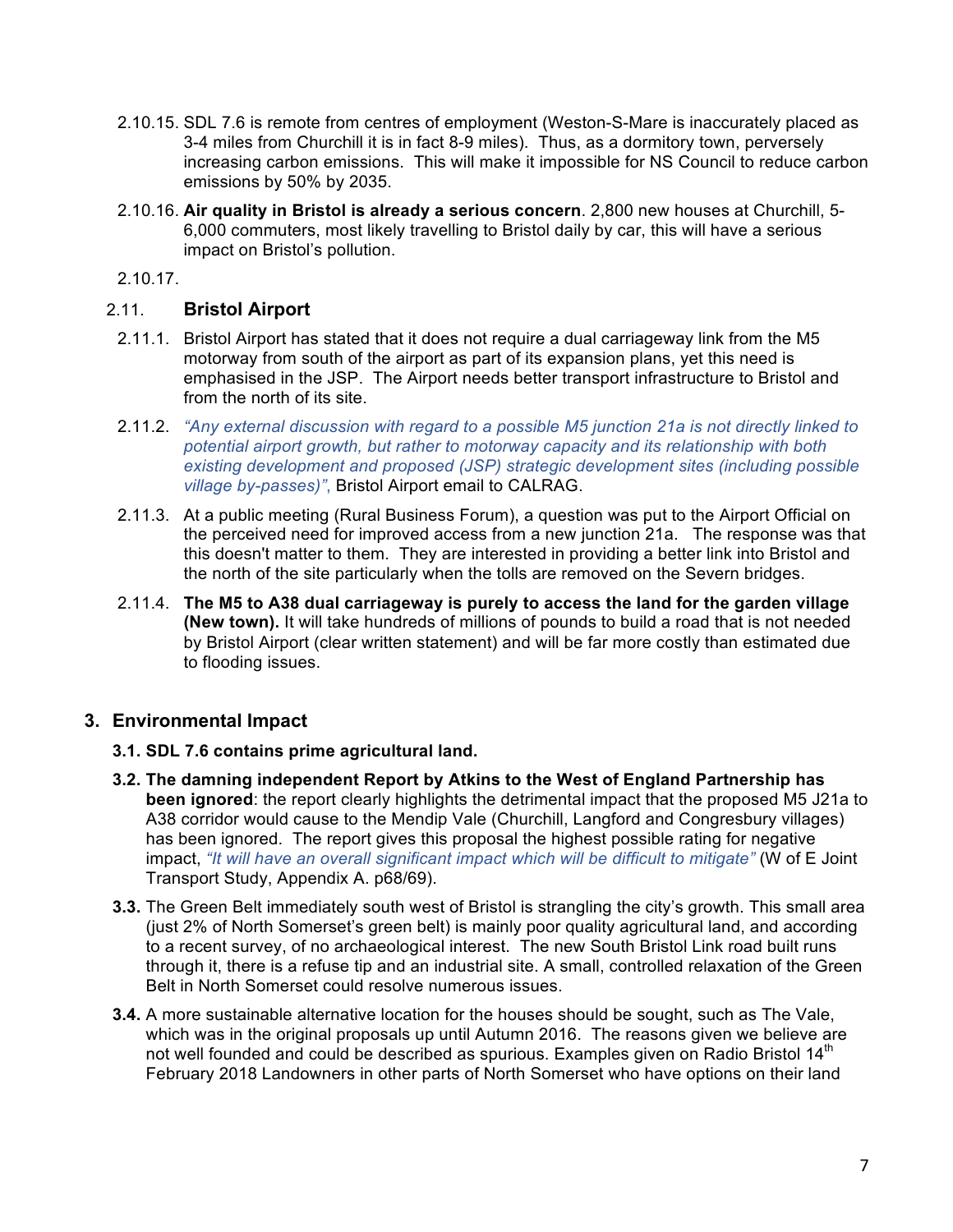- 2.10.15. SDL 7.6 is remote from centres of employment (Weston-S-Mare is inaccurately placed as 3-4 miles from Churchill it is in fact 8-9 miles). Thus, as a dormitory town, perversely increasing carbon emissions. This will make it impossible for NS Council to reduce carbon emissions by 50% by 2035.
- 2.10.16. **Air quality in Bristol is already a serious concern**. 2,800 new houses at Churchill, 5- 6,000 commuters, most likely travelling to Bristol daily by car, this will have a serious impact on Bristol's pollution.

2.10.17.

#### 2.11. **Bristol Airport**

- 2.11.1. Bristol Airport has stated that it does not require a dual carriageway link from the M5 motorway from south of the airport as part of its expansion plans, yet this need is emphasised in the JSP. The Airport needs better transport infrastructure to Bristol and from the north of its site.
- 2.11.2. *"Any external discussion with regard to a possible M5 junction 21a is not directly linked to potential airport growth, but rather to motorway capacity and its relationship with both existing development and proposed (JSP) strategic development sites (including possible village by-passes)"*, Bristol Airport email to CALRAG.
- 2.11.3. At a public meeting (Rural Business Forum), a question was put to the Airport Official on the perceived need for improved access from a new junction 21a. The response was that this doesn't matter to them. They are interested in providing a better link into Bristol and the north of the site particularly when the tolls are removed on the Severn bridges.
- 2.11.4. **The M5 to A38 dual carriageway is purely to access the land for the garden village (New town).** It will take hundreds of millions of pounds to build a road that is not needed by Bristol Airport (clear written statement) and will be far more costly than estimated due to flooding issues.

### **3. Environmental Impact**

- **3.1. SDL 7.6 contains prime agricultural land.**
- **3.2. The damning independent Report by Atkins to the West of England Partnership has been ignored**: the report clearly highlights the detrimental impact that the proposed M5 J21a to A38 corridor would cause to the Mendip Vale (Churchill, Langford and Congresbury villages) has been ignored. The report gives this proposal the highest possible rating for negative impact, *"It will have an overall significant impact which will be difficult to mitigate"* (W of E Joint Transport Study, Appendix A. p68/69).
- **3.3.** The Green Belt immediately south west of Bristol is strangling the city's growth. This small area (just 2% of North Somerset's green belt) is mainly poor quality agricultural land, and according to a recent survey, of no archaeological interest. The new South Bristol Link road built runs through it, there is a refuse tip and an industrial site. A small, controlled relaxation of the Green Belt in North Somerset could resolve numerous issues.
- **3.4.** A more sustainable alternative location for the houses should be sought, such as The Vale, which was in the original proposals up until Autumn 2016. The reasons given we believe are not well founded and could be described as spurious. Examples given on Radio Bristol  $14<sup>th</sup>$ February 2018 Landowners in other parts of North Somerset who have options on their land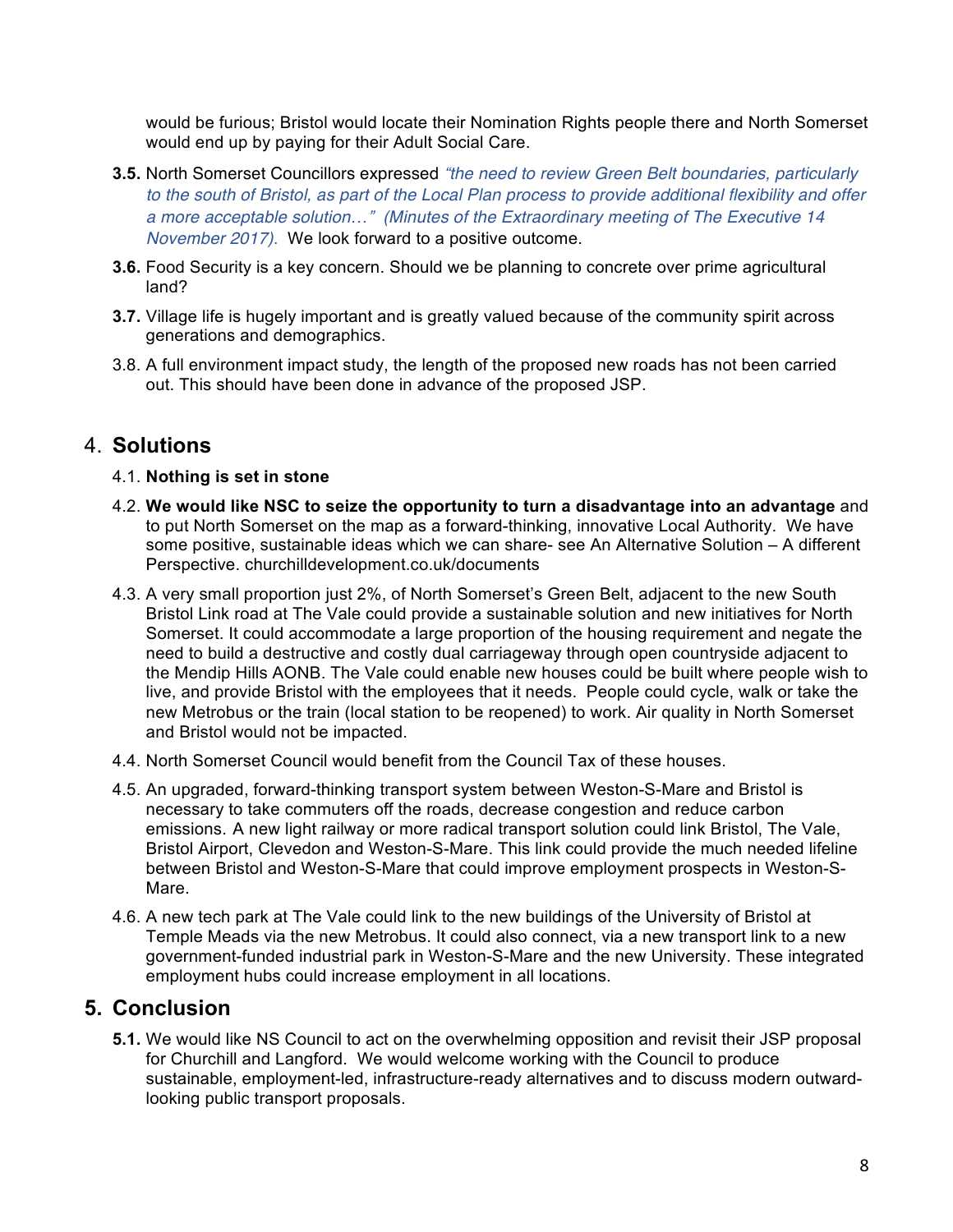would be furious; Bristol would locate their Nomination Rights people there and North Somerset would end up by paying for their Adult Social Care.

- **3.5.** North Somerset Councillors expressed "*the need to review Green Belt boundaries, particularly* to the south of Bristol, as part of the Local Plan process to provide additional flexibility and offer *a more acceptable solution*…" *(Minutes of the Extraordinary meeting of The Executive 14 November 2017)*. We look forward to a positive outcome.
- **3.6.** Food Security is a key concern. Should we be planning to concrete over prime agricultural land?
- **3.7.** Village life is hugely important and is greatly valued because of the community spirit across generations and demographics.
- 3.8. A full environment impact study, the length of the proposed new roads has not been carried out. This should have been done in advance of the proposed JSP.

### 4. **Solutions**

#### 4.1. **Nothing is set in stone**

- 4.2. **We would like NSC to seize the opportunity to turn a disadvantage into an advantage** and to put North Somerset on the map as a forward-thinking, innovative Local Authority. We have some positive, sustainable ideas which we can share- see An Alternative Solution – A different Perspective. churchilldevelopment.co.uk/documents
- 4.3. A very small proportion just 2%, of North Somerset's Green Belt, adjacent to the new South Bristol Link road at The Vale could provide a sustainable solution and new initiatives for North Somerset. It could accommodate a large proportion of the housing requirement and negate the need to build a destructive and costly dual carriageway through open countryside adjacent to the Mendip Hills AONB. The Vale could enable new houses could be built where people wish to live, and provide Bristol with the employees that it needs. People could cycle, walk or take the new Metrobus or the train (local station to be reopened) to work. Air quality in North Somerset and Bristol would not be impacted.
- 4.4. North Somerset Council would benefit from the Council Tax of these houses.
- 4.5. An upgraded, forward-thinking transport system between Weston-S-Mare and Bristol is necessary to take commuters off the roads, decrease congestion and reduce carbon emissions. A new light railway or more radical transport solution could link Bristol, The Vale, Bristol Airport, Clevedon and Weston-S-Mare. This link could provide the much needed lifeline between Bristol and Weston-S-Mare that could improve employment prospects in Weston-S-Mare.
- 4.6. A new tech park at The Vale could link to the new buildings of the University of Bristol at Temple Meads via the new Metrobus. It could also connect, via a new transport link to a new government-funded industrial park in Weston-S-Mare and the new University. These integrated employment hubs could increase employment in all locations.

### **5. Conclusion**

**5.1.** We would like NS Council to act on the overwhelming opposition and revisit their JSP proposal for Churchill and Langford. We would welcome working with the Council to produce sustainable, employment-led, infrastructure-ready alternatives and to discuss modern outwardlooking public transport proposals.